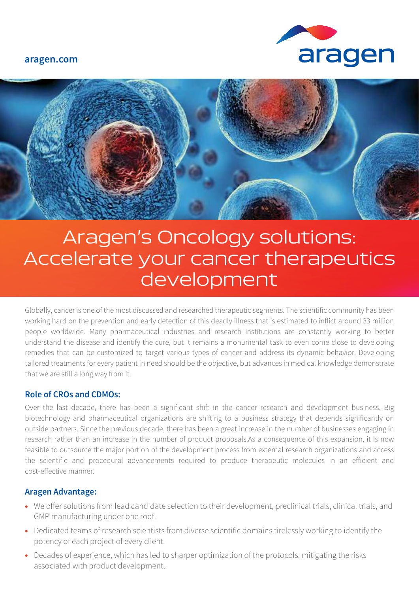**aragen.com**





# Aragen's Oncology solutions: Accelerate your cancer therapeutics development

Globally, cancer is one of the most discussed and researched therapeutic segments. The scientific community has been working hard on the prevention and early detection of this deadly illness that is estimated to inflict around 33 million people worldwide. Many pharmaceutical industries and research institutions are constantly working to better understand the disease and identify the cure, but it remains a monumental task to even come close to developing remedies that can be customized to target various types of cancer and address its dynamic behavior. Developing tailored treatments for every patient in need should be the objective, but advances in medical knowledge demonstrate that we are still a long way from it.

## **Role of CROs and CDMOs:**

Over the last decade, there has been a significant shift in the cancer research and development business. Big biotechnology and pharmaceutical organizations are shifting to a business strategy that depends significantly on outside partners. Since the previous decade, there has been a great increase in the number of businesses engaging in research rather than an increase in the number of product proposals.As a consequence of this expansion, it is now feasible to outsource the major portion of the development process from external research organizations and access the scientific and procedural advancements required to produce therapeutic molecules in an efficient and cost-effective manner

## **Aragen Advantage:**

- We offer solutions from lead candidate selection to their development, preclinical trials, clinical trials, and GMP manufacturing under one roof.
- Dedicated teams of research scientists from diverse scientific domains tirelessly working to identify the potency of each project of every client.
- Decades of experience, which has led to sharper optimization of the protocols, mitigating the risks associated with product development.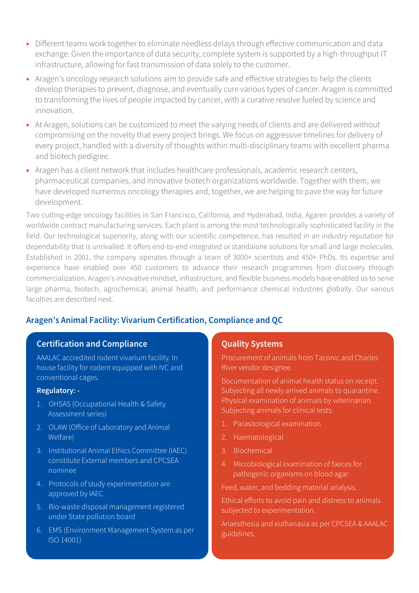- Different teams work together to eliminate needless delays through effective communication and data exchange. Given the importance of data security, complete system is supported by a high-throughput IT infrastructure, allowing for fast transmission of data solely to the customer.
- Aragen's oncology research solutions aim to provide safe and effective strategies to help the clients develop therapies to prevent, diagnose, and eventually cure various types of cancer. Aragen is committed to transforming the lives of people impacted by cancer, with a curative resolve fueled by science and innovation.
- At Aragen, solutions can be customized to meet the varying needs of clients and are delivered without compromising on the novelty that every project brings. We focus on aggressive timelines for delivery of every project, handled with a diversity of thoughts within multi-disciplinary teams with excellent pharma and biotech pedigree.
- Aragen has a client network that includes healthcare professionals, academic research centers, pharmaceutical companies, and innovative biotech organizations worldwide. Together with them, we have developed numerous oncology therapies and, together, we are helping to pave the way for future development.

Two cutting-edge oncology facilities in San Francisco, California, and Hyderabad, India, Agaren provides a variety of worldwide contract manufacturing services. Each plant is among the most technologically sophisticated facility in the field. Our technological superiority, along with our scientific competence, has resulted in an industry reputation for dependability that is unrivalled. It offers end-to-end integrated or standalone solutions for small and large molecules. Established in 2001, the company operates through a team of 3000+ scientists and 450+ PhDs. Its expertise and experience have enabled over 450 customers to advance their research programmes from discovery through commercialization. Aragen's innovative mindset, infrastructure, and flexible business models have enabled us to serve large pharma, biotech, agrochemical, animal health, and performance chemical industries globally. Our various faculties are described next.

# **Aragen's Animal Facility: Vivarium Certification, Compliance and QC**

# **Certification and Compliance**

AAALAC accredited rodent vivarium facility. In house facility for rodent equipped with IVC and conventional cages.

#### **Regulatory: -**

- 1. OHSAS (Occupational Health & Safety Assessment series)
- 2. OLAW (Office of Laboratory and Animal Welfare)
- 3. Institutional Animal Ethics Committee (IAEC) constitute External members and CPCSEA nominee
- 4. Protocols of study experimentation are approved by IAEC
- 5. Bio-waste disposal management registered under State pollution board
- 6. EMS (Environment Management System as per ISO 14001)

# **Quality Systems**

Procurement of animals from Taconic and Charles River vendor designee.

Documentation of animal health status on receipt. Subjecting all newly arrived animals to quarantine. Physical examination of animals by veterinarian. Subjecting animals for clinical tests:

- 1. Parasitological examination
- 2. Haematological
- 3. Biochemical
- 4. Microbiological examination of faeces for pathogenic organisms on blood agar

Feed, water, and bedding material analysis.

Ethical efforts to avoid pain and distress to animals subjected to experimentation.

Anaesthesia and euthanasia as per CPCSEA & AAALAC guidelines.